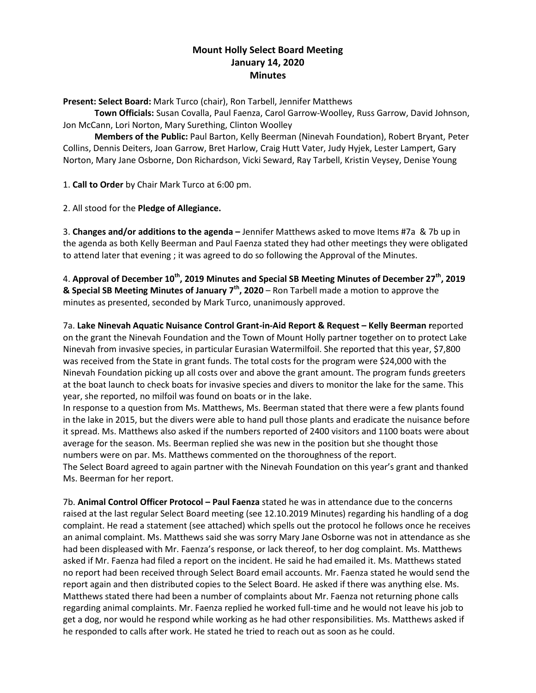# **Mount Holly Select Board Meeting January 14, 2020 Minutes**

**Present: Select Board:** Mark Turco (chair), Ron Tarbell, Jennifer Matthews

**Town Officials:** Susan Covalla, Paul Faenza, Carol Garrow-Woolley, Russ Garrow, David Johnson, Jon McCann, Lori Norton, Mary Surething, Clinton Woolley

**Members of the Public:** Paul Barton, Kelly Beerman (Ninevah Foundation), Robert Bryant, Peter Collins, Dennis Deiters, Joan Garrow, Bret Harlow, Craig Hutt Vater, Judy Hyjek, Lester Lampert, Gary Norton, Mary Jane Osborne, Don Richardson, Vicki Seward, Ray Tarbell, Kristin Veysey, Denise Young

1. **Call to Order** by Chair Mark Turco at 6:00 pm.

2. All stood for the **Pledge of Allegiance.**

3. **Changes and/or additions to the agenda –** Jennifer Matthews asked to move Items #7a & 7b up in the agenda as both Kelly Beerman and Paul Faenza stated they had other meetings they were obligated to attend later that evening ; it was agreed to do so following the Approval of the Minutes.

4. **Approval of December 10th, 2019 Minutes and Special SB Meeting Minutes of December 27th, 2019 & Special SB Meeting Minutes of January 7th, 2020** – Ron Tarbell made a motion to approve the minutes as presented, seconded by Mark Turco, unanimously approved.

7a. **Lake Ninevah Aquatic Nuisance Control Grant-in-Aid Report & Request – Kelly Beerman r**eported on the grant the Ninevah Foundation and the Town of Mount Holly partner together on to protect Lake Ninevah from invasive species, in particular Eurasian Watermilfoil. She reported that this year, \$7,800 was received from the State in grant funds. The total costs for the program were \$24,000 with the Ninevah Foundation picking up all costs over and above the grant amount. The program funds greeters at the boat launch to check boats for invasive species and divers to monitor the lake for the same. This year, she reported, no milfoil was found on boats or in the lake.

In response to a question from Ms. Matthews, Ms. Beerman stated that there were a few plants found in the lake in 2015, but the divers were able to hand pull those plants and eradicate the nuisance before it spread. Ms. Matthews also asked if the numbers reported of 2400 visitors and 1100 boats were about average for the season. Ms. Beerman replied she was new in the position but she thought those numbers were on par. Ms. Matthews commented on the thoroughness of the report. The Select Board agreed to again partner with the Ninevah Foundation on this year's grant and thanked Ms. Beerman for her report.

7b. **Animal Control Officer Protocol – Paul Faenza** stated he was in attendance due to the concerns raised at the last regular Select Board meeting (see 12.10.2019 Minutes) regarding his handling of a dog complaint. He read a statement (see attached) which spells out the protocol he follows once he receives an animal complaint. Ms. Matthews said she was sorry Mary Jane Osborne was not in attendance as she had been displeased with Mr. Faenza's response, or lack thereof, to her dog complaint. Ms. Matthews asked if Mr. Faenza had filed a report on the incident. He said he had emailed it. Ms. Matthews stated no report had been received through Select Board email accounts. Mr. Faenza stated he would send the report again and then distributed copies to the Select Board. He asked if there was anything else. Ms. Matthews stated there had been a number of complaints about Mr. Faenza not returning phone calls regarding animal complaints. Mr. Faenza replied he worked full-time and he would not leave his job to get a dog, nor would he respond while working as he had other responsibilities. Ms. Matthews asked if he responded to calls after work. He stated he tried to reach out as soon as he could.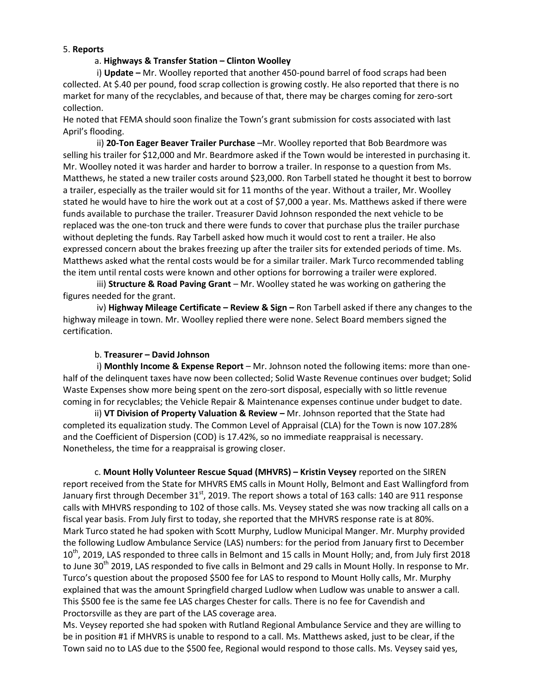#### 5. **Reports**

#### a. **Highways & Transfer Station – Clinton Woolley**

i) **Update –** Mr. Woolley reported that another 450-pound barrel of food scraps had been collected. At \$.40 per pound, food scrap collection is growing costly. He also reported that there is no market for many of the recyclables, and because of that, there may be charges coming for zero-sort collection.

He noted that FEMA should soon finalize the Town's grant submission for costs associated with last April's flooding.

ii) **20-Ton Eager Beaver Trailer Purchase** –Mr. Woolley reported that Bob Beardmore was selling his trailer for \$12,000 and Mr. Beardmore asked if the Town would be interested in purchasing it. Mr. Woolley noted it was harder and harder to borrow a trailer. In response to a question from Ms. Matthews, he stated a new trailer costs around \$23,000. Ron Tarbell stated he thought it best to borrow a trailer, especially as the trailer would sit for 11 months of the year. Without a trailer, Mr. Woolley stated he would have to hire the work out at a cost of \$7,000 a year. Ms. Matthews asked if there were funds available to purchase the trailer. Treasurer David Johnson responded the next vehicle to be replaced was the one-ton truck and there were funds to cover that purchase plus the trailer purchase without depleting the funds. Ray Tarbell asked how much it would cost to rent a trailer. He also expressed concern about the brakes freezing up after the trailer sits for extended periods of time. Ms. Matthews asked what the rental costs would be for a similar trailer. Mark Turco recommended tabling the item until rental costs were known and other options for borrowing a trailer were explored.

iii) **Structure & Road Paving Grant** – Mr. Woolley stated he was working on gathering the figures needed for the grant.

iv) **Highway Mileage Certificate – Review & Sign –** Ron Tarbell asked if there any changes to the highway mileage in town. Mr. Woolley replied there were none. Select Board members signed the certification.

### b. **Treasurer – David Johnson**

i) **Monthly Income & Expense Report** – Mr. Johnson noted the following items: more than onehalf of the delinquent taxes have now been collected; Solid Waste Revenue continues over budget; Solid Waste Expenses show more being spent on the zero-sort disposal, especially with so little revenue coming in for recyclables; the Vehicle Repair & Maintenance expenses continue under budget to date.

ii) **VT Division of Property Valuation & Review –** Mr. Johnson reported that the State had completed its equalization study. The Common Level of Appraisal (CLA) for the Town is now 107.28% and the Coefficient of Dispersion (COD) is 17.42%, so no immediate reappraisal is necessary. Nonetheless, the time for a reappraisal is growing closer.

c. **Mount Holly Volunteer Rescue Squad (MHVRS) – Kristin Veysey** reported on the SIREN report received from the State for MHVRS EMS calls in Mount Holly, Belmont and East Wallingford from January first through December  $31<sup>st</sup>$ , 2019. The report shows a total of 163 calls: 140 are 911 response calls with MHVRS responding to 102 of those calls. Ms. Veysey stated she was now tracking all calls on a fiscal year basis. From July first to today, she reported that the MHVRS response rate is at 80%. Mark Turco stated he had spoken with Scott Murphy, Ludlow Municipal Manger. Mr. Murphy provided the following Ludlow Ambulance Service (LAS) numbers: for the period from January first to December 10<sup>th</sup>, 2019, LAS responded to three calls in Belmont and 15 calls in Mount Holly; and, from July first 2018 to June 30<sup>th</sup> 2019, LAS responded to five calls in Belmont and 29 calls in Mount Holly. In response to Mr. Turco's question about the proposed \$500 fee for LAS to respond to Mount Holly calls, Mr. Murphy explained that was the amount Springfield charged Ludlow when Ludlow was unable to answer a call. This \$500 fee is the same fee LAS charges Chester for calls. There is no fee for Cavendish and Proctorsville as they are part of the LAS coverage area.

Ms. Veysey reported she had spoken with Rutland Regional Ambulance Service and they are willing to be in position #1 if MHVRS is unable to respond to a call. Ms. Matthews asked, just to be clear, if the Town said no to LAS due to the \$500 fee, Regional would respond to those calls. Ms. Veysey said yes,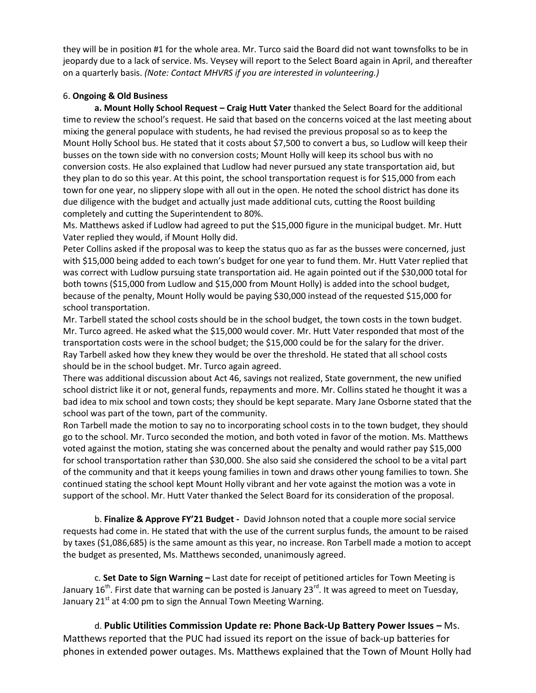they will be in position #1 for the whole area. Mr. Turco said the Board did not want townsfolks to be in jeopardy due to a lack of service. Ms. Veysey will report to the Select Board again in April, and thereafter on a quarterly basis. *(Note: Contact MHVRS if you are interested in volunteering.)*

# 6. **Ongoing & Old Business**

**a. Mount Holly School Request – Craig Hutt Vater** thanked the Select Board for the additional time to review the school's request. He said that based on the concerns voiced at the last meeting about mixing the general populace with students, he had revised the previous proposal so as to keep the Mount Holly School bus. He stated that it costs about \$7,500 to convert a bus, so Ludlow will keep their busses on the town side with no conversion costs; Mount Holly will keep its school bus with no conversion costs. He also explained that Ludlow had never pursued any state transportation aid, but they plan to do so this year. At this point, the school transportation request is for \$15,000 from each town for one year, no slippery slope with all out in the open. He noted the school district has done its due diligence with the budget and actually just made additional cuts, cutting the Roost building completely and cutting the Superintendent to 80%.

Ms. Matthews asked if Ludlow had agreed to put the \$15,000 figure in the municipal budget. Mr. Hutt Vater replied they would, if Mount Holly did.

Peter Collins asked if the proposal was to keep the status quo as far as the busses were concerned, just with \$15,000 being added to each town's budget for one year to fund them. Mr. Hutt Vater replied that was correct with Ludlow pursuing state transportation aid. He again pointed out if the \$30,000 total for both towns (\$15,000 from Ludlow and \$15,000 from Mount Holly) is added into the school budget, because of the penalty, Mount Holly would be paying \$30,000 instead of the requested \$15,000 for school transportation.

Mr. Tarbell stated the school costs should be in the school budget, the town costs in the town budget. Mr. Turco agreed. He asked what the \$15,000 would cover. Mr. Hutt Vater responded that most of the transportation costs were in the school budget; the \$15,000 could be for the salary for the driver. Ray Tarbell asked how they knew they would be over the threshold. He stated that all school costs should be in the school budget. Mr. Turco again agreed.

There was additional discussion about Act 46, savings not realized, State government, the new unified school district like it or not, general funds, repayments and more. Mr. Collins stated he thought it was a bad idea to mix school and town costs; they should be kept separate. Mary Jane Osborne stated that the school was part of the town, part of the community.

Ron Tarbell made the motion to say no to incorporating school costs in to the town budget, they should go to the school. Mr. Turco seconded the motion, and both voted in favor of the motion. Ms. Matthews voted against the motion, stating she was concerned about the penalty and would rather pay \$15,000 for school transportation rather than \$30,000. She also said she considered the school to be a vital part of the community and that it keeps young families in town and draws other young families to town. She continued stating the school kept Mount Holly vibrant and her vote against the motion was a vote in support of the school. Mr. Hutt Vater thanked the Select Board for its consideration of the proposal.

b. **Finalize & Approve FY'21 Budget -** David Johnson noted that a couple more social service requests had come in. He stated that with the use of the current surplus funds, the amount to be raised by taxes (\$1,086,685) is the same amount as this year, no increase. Ron Tarbell made a motion to accept the budget as presented, Ms. Matthews seconded, unanimously agreed.

c. **Set Date to Sign Warning –** Last date for receipt of petitioned articles for Town Meeting is January 16<sup>th</sup>. First date that warning can be posted is January 23<sup>rd</sup>. It was agreed to meet on Tuesday, January  $21<sup>st</sup>$  at 4:00 pm to sign the Annual Town Meeting Warning.

d. **Public Utilities Commission Update re: Phone Back-Up Battery Power Issues –** Ms. Matthews reported that the PUC had issued its report on the issue of back-up batteries for phones in extended power outages. Ms. Matthews explained that the Town of Mount Holly had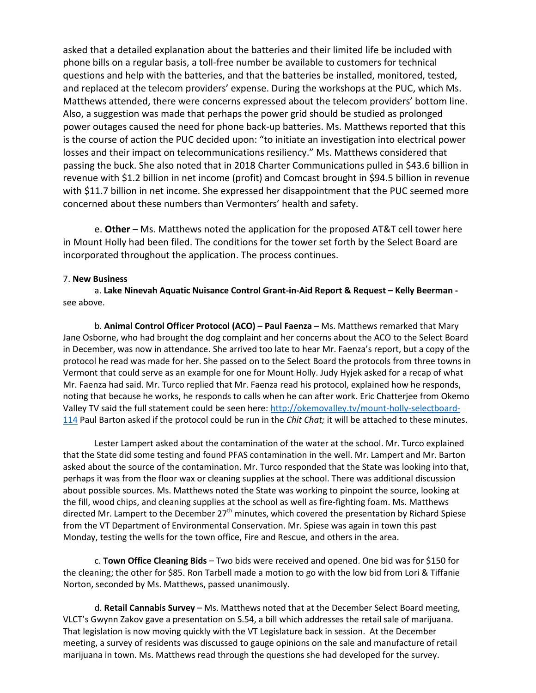asked that a detailed explanation about the batteries and their limited life be included with phone bills on a regular basis, a toll-free number be available to customers for technical questions and help with the batteries, and that the batteries be installed, monitored, tested, and replaced at the telecom providers' expense. During the workshops at the PUC, which Ms. Matthews attended, there were concerns expressed about the telecom providers' bottom line. Also, a suggestion was made that perhaps the power grid should be studied as prolonged power outages caused the need for phone back-up batteries. Ms. Matthews reported that this is the course of action the PUC decided upon: "to initiate an investigation into electrical power losses and their impact on telecommunications resiliency." Ms. Matthews considered that passing the buck. She also noted that in 2018 Charter Communications pulled in \$43.6 billion in revenue with \$1.2 billion in net income (profit) and Comcast brought in \$94.5 billion in revenue with \$11.7 billion in net income. She expressed her disappointment that the PUC seemed more concerned about these numbers than Vermonters' health and safety.

e. **Other** – Ms. Matthews noted the application for the proposed AT&T cell tower here in Mount Holly had been filed. The conditions for the tower set forth by the Select Board are incorporated throughout the application. The process continues.

#### 7. **New Business**

a. **Lake Ninevah Aquatic Nuisance Control Grant-in-Aid Report & Request – Kelly Beerman**  see above.

b. **Animal Control Officer Protocol (ACO) – Paul Faenza –** Ms. Matthews remarked that Mary Jane Osborne, who had brought the dog complaint and her concerns about the ACO to the Select Board in December, was now in attendance. She arrived too late to hear Mr. Faenza's report, but a copy of the protocol he read was made for her. She passed on to the Select Board the protocols from three towns in Vermont that could serve as an example for one for Mount Holly. Judy Hyjek asked for a recap of what Mr. Faenza had said. Mr. Turco replied that Mr. Faenza read his protocol, explained how he responds, noting that because he works, he responds to calls when he can after work. Eric Chatterjee from Okemo Valley TV said the full statement could be seen here: [http://okemovalley.tv/mount-holly-selectboard-](about:blank)[114](about:blank) Paul Barton asked if the protocol could be run in the *Chit Chat;* it will be attached to these minutes.

Lester Lampert asked about the contamination of the water at the school. Mr. Turco explained that the State did some testing and found PFAS contamination in the well. Mr. Lampert and Mr. Barton asked about the source of the contamination. Mr. Turco responded that the State was looking into that, perhaps it was from the floor wax or cleaning supplies at the school. There was additional discussion about possible sources. Ms. Matthews noted the State was working to pinpoint the source, looking at the fill, wood chips, and cleaning supplies at the school as well as fire-fighting foam. Ms. Matthews directed Mr. Lampert to the December  $27<sup>th</sup>$  minutes, which covered the presentation by Richard Spiese from the VT Department of Environmental Conservation. Mr. Spiese was again in town this past Monday, testing the wells for the town office, Fire and Rescue, and others in the area.

c. **Town Office Cleaning Bids** – Two bids were received and opened. One bid was for \$150 for the cleaning; the other for \$85. Ron Tarbell made a motion to go with the low bid from Lori & Tiffanie Norton, seconded by Ms. Matthews, passed unanimously.

d. **Retail Cannabis Survey** – Ms. Matthews noted that at the December Select Board meeting, VLCT's Gwynn Zakov gave a presentation on S.54, a bill which addresses the retail sale of marijuana. That legislation is now moving quickly with the VT Legislature back in session. At the December meeting, a survey of residents was discussed to gauge opinions on the sale and manufacture of retail marijuana in town. Ms. Matthews read through the questions she had developed for the survey.